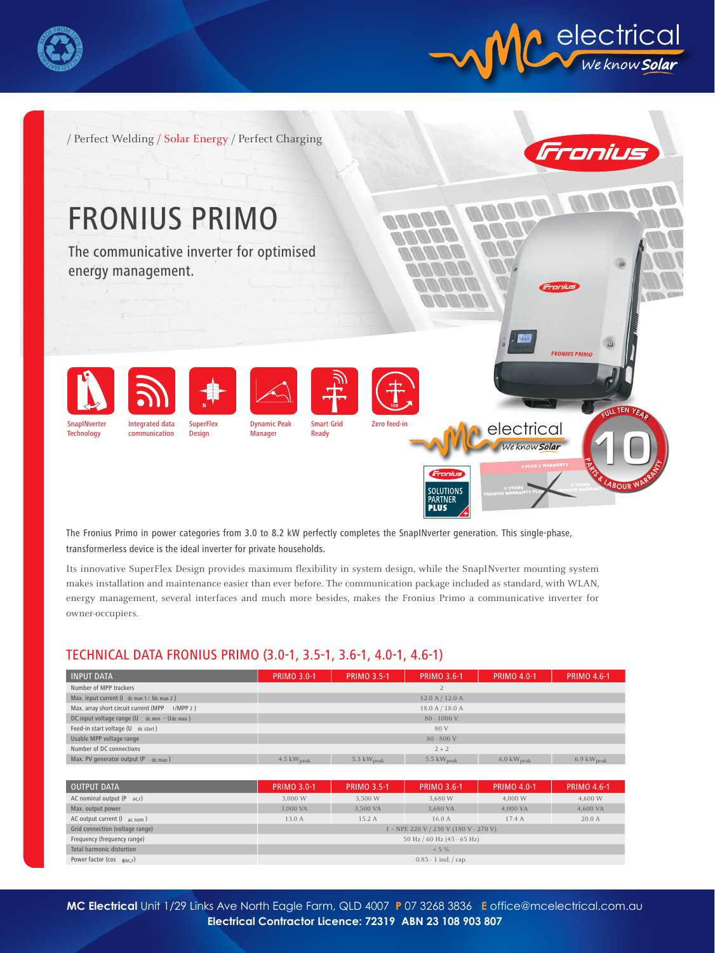



/ Perfect Welding / Solar Energy / Perfect Charging



The Fronius Primo in power categories from 3.0 to 8.2 kW perfectly completes the SnapINverter generation. This single-phase, transformerless device is the ideal inverter for private households.

Its innovative SuperFlex Design provides maximum flexibility in system design, while the SnapINverter mounting system makes installation and maintenance easier than ever before. The communication package included as standard, with WLAN, energy management, several interfaces and much more besides, makes the Fronius Primo a communicative inverter for owner-occupiers.

## TECHNICAL DATA FRONIUS PRIMO (3.0-1, 3.5-1, 3.6-1, 4.0-1, 4.6-1)

| <b>INPUT DATA</b>                              | <b>PRIMO 3.0-1</b>             | <b>PRIMO 3.5-1</b>     | <b>PRIMO 3.6-1</b> | <b>PRIMO 4.0-1</b>             | <b>PRIMO 4.6-1</b>             |  |  |
|------------------------------------------------|--------------------------------|------------------------|--------------------|--------------------------------|--------------------------------|--|--|
| Number of MPP trackers                         | $\mathcal{L}$                  |                        |                    |                                |                                |  |  |
| Max. input current (I dc max 1 / Idc max 2)    | 12.0 A / 12.0 A                |                        |                    |                                |                                |  |  |
| Max. array short circuit current (MPP 1/MPP 2) | 18.0 A / 18.0 A                |                        |                    |                                |                                |  |  |
| DC input voltage range (U dc min - Udc max)    | $80 - 1000$ V                  |                        |                    |                                |                                |  |  |
| Feed-in start voltage (U dc start)             | 80 V                           |                        |                    |                                |                                |  |  |
| Usable MPP voltage range                       | $80 - 800$ V                   |                        |                    |                                |                                |  |  |
| Number of DC connections                       | $2 + 2$                        |                        |                    |                                |                                |  |  |
| Max. PV generator output (P dc max)            | $4.5 \text{ kW}_{\text{peak}}$ | 5.3 $kW_{\text{peak}}$ | 5.5 $kWpeak$       | $6.0 \text{ kW}_{\text{peak}}$ | $6.9 \text{ kW}_{\text{peak}}$ |  |  |

| <b>OUTPUT DATA</b>                            | <b>PRIMO 3.0-1</b>                    | <b>PRIMO 3.5-1</b> | <b>PRIMO 3.6-1</b> | <b>PRIMO 4.0-1</b> | <b>PRIMO 4.6-1</b> |  |  |
|-----------------------------------------------|---------------------------------------|--------------------|--------------------|--------------------|--------------------|--|--|
| AC nominal output (P ac,r)                    | 3,000 W                               | 3,500 W            | 3,680 W            | 4,000 W            | 4,600 W            |  |  |
| Max. output power                             | 3.000 VA                              | 3.500 VA           | 3,680 VA           | 4.000 VA           | 4,600 VA           |  |  |
| AC output current $(I_{\text{ac nom}})$       | 13.0 A                                | 15.2 A             | 16.0A              | 17.4 A             | 20.0A              |  |  |
| Grid connection (voltage range)               | 1 ~ NPE 220 V / 230 V (180 V - 270 V) |                    |                    |                    |                    |  |  |
| Frequency (frequency range)                   | 50 Hz / 60 Hz (45 - 65 Hz)            |                    |                    |                    |                    |  |  |
| Total harmonic distortion                     | $< 5 \%$                              |                    |                    |                    |                    |  |  |
| Power factor ( $cos$ $\phi$ <sub>ac,r</sub> ) | $0.85 - 1$ ind. $\frac{1}{2}$ cap.    |                    |                    |                    |                    |  |  |

MC Electrical Unit 1/29 Links Ave North Eagle Farm, QLD 4007 P 07 3268 3836 E office@mcelectrical.com.au Electrical Contractor Licence: 72319 ABN 23 108 903 807